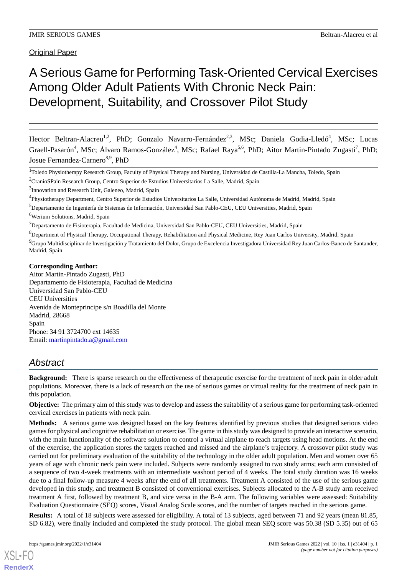# A Serious Game for Performing Task-Oriented Cervical Exercises Among Older Adult Patients With Chronic Neck Pain: Development, Suitability, and Crossover Pilot Study

Hector Beltran-Alacreu<sup>1,2</sup>, PhD; Gonzalo Navarro-Fernández<sup>2,3</sup>, MSc; Daniela Godia-Lledó<sup>4</sup>, MSc; Lucas Graell-Pasarón<sup>4</sup>, MSc; Álvaro Ramos-González<sup>4</sup>, MSc; Rafael Raya<sup>5,6</sup>, PhD; Aitor Martin-Pintado Zugasti<sup>7</sup>, PhD; Josue Fernandez-Carnero<sup>8,9</sup>, PhD

<sup>1</sup>Toledo Physiotherapy Research Group, Faculty of Physical Therapy and Nursing, Universidad de Castilla-La Mancha, Toledo, Spain

<sup>2</sup>CranioSPain Research Group, Centro Superior de Estudios Universitarios La Salle, Madrid, Spain

<sup>5</sup>Departamento de Ingeniería de Sistemas de Información, Universidad San Pablo-CEU, CEU Universities, Madrid, Spain <sup>6</sup>Werium Solutions, Madrid, Spain

<sup>7</sup>Departamento de Fisioterapia, Facultad de Medicina, Universidad San Pablo-CEU, CEU Universities, Madrid, Spain

<sup>8</sup>Department of Physical Therapy, Occupational Therapy, Rehabilitation and Physical Medicine, Rey Juan Carlos University, Madrid, Spain

<sup>9</sup>Grupo Multidisciplinar de Investigación y Tratamiento del Dolor, Grupo de Excelencia Investigadora Universidad Rey Juan Carlos-Banco de Santander, Madrid, Spain

#### **Corresponding Author:**

Aitor Martin-Pintado Zugasti, PhD Departamento de Fisioterapia, Facultad de Medicina Universidad San Pablo-CEU CEU Universities Avenida de Monteprincipe s/n Boadilla del Monte Madrid, 28668 Spain Phone: 34 91 3724700 ext 14635 Email: [martinpintado.a@gmail.com](mailto:martinpintado.a@gmail.com)

## *Abstract*

**Background:** There is sparse research on the effectiveness of therapeutic exercise for the treatment of neck pain in older adult populations. Moreover, there is a lack of research on the use of serious games or virtual reality for the treatment of neck pain in this population.

**Objective:** The primary aim of this study was to develop and assess the suitability of a serious game for performing task-oriented cervical exercises in patients with neck pain.

**Methods:** A serious game was designed based on the key features identified by previous studies that designed serious video games for physical and cognitive rehabilitation or exercise. The game in this study was designed to provide an interactive scenario, with the main functionality of the software solution to control a virtual airplane to reach targets using head motions. At the end of the exercise, the application stores the targets reached and missed and the airplane's trajectory. A crossover pilot study was carried out for preliminary evaluation of the suitability of the technology in the older adult population. Men and women over 65 years of age with chronic neck pain were included. Subjects were randomly assigned to two study arms; each arm consisted of a sequence of two 4-week treatments with an intermediate washout period of 4 weeks. The total study duration was 16 weeks due to a final follow-up measure 4 weeks after the end of all treatments. Treatment A consisted of the use of the serious game developed in this study, and treatment B consisted of conventional exercises. Subjects allocated to the A-B study arm received treatment A first, followed by treatment B, and vice versa in the B-A arm. The following variables were assessed: Suitability Evaluation Questionnaire (SEQ) scores, Visual Analog Scale scores, and the number of targets reached in the serious game.

**Results:** A total of 18 subjects were assessed for eligibility. A total of 13 subjects, aged between 71 and 92 years (mean 81.85, SD 6.82), were finally included and completed the study protocol. The global mean SEQ score was 50.38 (SD 5.35) out of 65

<sup>&</sup>lt;sup>3</sup>Innovation and Research Unit, Galeneo, Madrid, Spain

<sup>&</sup>lt;sup>4</sup>Physiotherapy Department, Centro Superior de Estudios Universitarios La Salle, Universidad Autónoma de Madrid, Madrid, Spain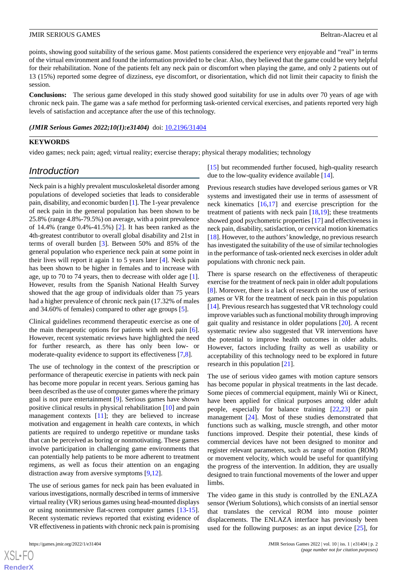points, showing good suitability of the serious game. Most patients considered the experience very enjoyable and "real" in terms of the virtual environment and found the information provided to be clear. Also, they believed that the game could be very helpful for their rehabilitation. None of the patients felt any neck pain or discomfort when playing the game, and only 2 patients out of 13 (15%) reported some degree of dizziness, eye discomfort, or disorientation, which did not limit their capacity to finish the session.

**Conclusions:** The serious game developed in this study showed good suitability for use in adults over 70 years of age with chronic neck pain. The game was a safe method for performing task-oriented cervical exercises, and patients reported very high levels of satisfaction and acceptance after the use of this technology.

#### *(JMIR Serious Games 2022;10(1):e31404)* doi:  $10.2196/31404$

#### **KEYWORDS**

video games; neck pain; aged; virtual reality; exercise therapy; physical therapy modalities; technology

### *Introduction*

Neck pain is a highly prevalent musculoskeletal disorder among populations of developed societies that leads to considerable pain, disability, and economic burden [[1\]](#page-10-0). The 1-year prevalence of neck pain in the general population has been shown to be 25.8% (range 4.8%-79.5%) on average, with a point prevalence of 14.4% (range 0.4%-41.5%) [\[2](#page-10-1)]. It has been ranked as the 4th-greatest contributor to overall global disability and 21st in terms of overall burden [\[3\]](#page-10-2). Between 50% and 85% of the general population who experience neck pain at some point in their lives will report it again 1 to 5 years later [[4\]](#page-10-3). Neck pain has been shown to be higher in females and to increase with age, up to 70 to 74 years, then to decrease with older age [[1\]](#page-10-0). However, results from the Spanish National Health Survey showed that the age group of individuals older than 75 years had a higher prevalence of chronic neck pain (17.32% of males and 34.60% of females) compared to other age groups [\[5](#page-10-4)].

Clinical guidelines recommend therapeutic exercise as one of the main therapeutic options for patients with neck pain [[6\]](#page-10-5). However, recent systematic reviews have highlighted the need for further research, as there has only been low- or moderate-quality evidence to support its effectiveness [\[7](#page-10-6),[8\]](#page-11-0).

The use of technology in the context of the prescription or performance of therapeutic exercise in patients with neck pain has become more popular in recent years. Serious gaming has been described as the use of computer games where the primary goal is not pure entertainment [[9](#page-11-1)]. Serious games have shown positive clinical results in physical rehabilitation [[10\]](#page-11-2) and pain management contexts [\[11](#page-11-3)]; they are believed to increase motivation and engagement in health care contexts, in which patients are required to undergo repetitive or mundane tasks that can be perceived as boring or nonmotivating. These games involve participation in challenging game environments that can potentially help patients to be more adherent to treatment regimens, as well as focus their attention on an engaging distraction away from aversive symptoms [[9,](#page-11-1)[12](#page-11-4)].

The use of serious games for neck pain has been evaluated in various investigations, normally described in terms of immersive virtual reality (VR) serious games using head-mounted displays or using nonimmersive flat-screen computer games [\[13](#page-11-5)-[15\]](#page-11-6). Recent systematic reviews reported that existing evidence of VR effectiveness in patients with chronic neck pain is promising

[XSL](http://www.w3.org/Style/XSL)•FO **[RenderX](http://www.renderx.com/)**

[[15\]](#page-11-6) but recommended further focused, high-quality research due to the low-quality evidence available [\[14](#page-11-7)].

Previous research studies have developed serious games or VR systems and investigated their use in terms of assessment of neck kinematics [\[16](#page-11-8),[17\]](#page-11-9) and exercise prescription for the treatment of patients with neck pain  $[18,19]$  $[18,19]$  $[18,19]$  $[18,19]$ ; these treatments showed good psychometric properties [\[17](#page-11-9)] and effectiveness in neck pain, disability, satisfaction, or cervical motion kinematics [[18\]](#page-11-10). However, to the authors' knowledge, no previous research has investigated the suitability of the use of similar technologies in the performance of task-oriented neck exercises in older adult populations with chronic neck pain.

There is sparse research on the effectiveness of therapeutic exercise for the treatment of neck pain in older adult populations [[8\]](#page-11-0). Moreover, there is a lack of research on the use of serious games or VR for the treatment of neck pain in this population [[14\]](#page-11-7). Previous research has suggested that VR technology could improve variables such as functional mobility through improving gait quality and resistance in older populations [\[20](#page-11-12)]. A recent systematic review also suggested that VR interventions have the potential to improve health outcomes in older adults. However, factors including frailty as well as usability or acceptability of this technology need to be explored in future research in this population [\[21](#page-11-13)].

The use of serious video games with motion capture sensors has become popular in physical treatments in the last decade. Some pieces of commercial equipment, mainly Wii or Kinect, have been applied for clinical purposes among older adult people, especially for balance training [\[22](#page-11-14)[,23](#page-11-15)] or pain management [[24\]](#page-11-16). Most of these studies demonstrated that functions such as walking, muscle strength, and other motor functions improved. Despite their potential, these kinds of commercial devices have not been designed to monitor and register relevant parameters, such as range of motion (ROM) or movement velocity, which would be useful for quantifying the progress of the intervention. In addition, they are usually designed to train functional movements of the lower and upper limbs.

The video game in this study is controlled by the ENLAZA sensor (Werium Solutions), which consists of an inertial sensor that translates the cervical ROM into mouse pointer displacements. The ENLAZA interface has previously been used for the following purposes: as an input device [[25\]](#page-11-17), for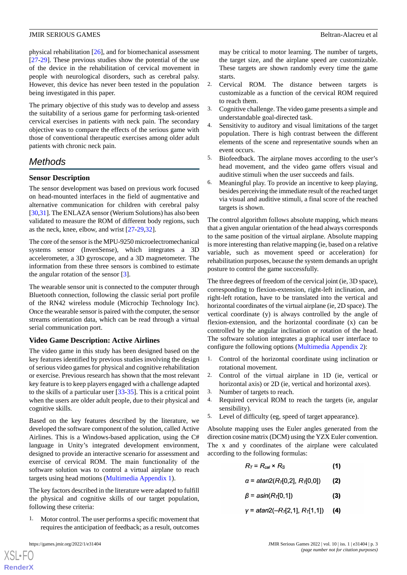physical rehabilitation [\[26](#page-11-18)], and for biomechanical assessment [[27](#page-11-19)[-29](#page-12-0)]. These previous studies show the potential of the use of the device in the rehabilitation of cervical movement in people with neurological disorders, such as cerebral palsy. However, this device has never been tested in the population being investigated in this paper.

The primary objective of this study was to develop and assess the suitability of a serious game for performing task-oriented cervical exercises in patients with neck pain. The secondary objective was to compare the effects of the serious game with those of conventional therapeutic exercises among older adult patients with chronic neck pain.

## *Methods*

#### **Sensor Description**

The sensor development was based on previous work focused on head-mounted interfaces in the field of augmentative and alternative communication for children with cerebral palsy [[30,](#page-12-1)[31\]](#page-12-2). The ENLAZA sensor (Werium Solutions) has also been validated to measure the ROM of different body regions, such as the neck, knee, elbow, and wrist [\[27](#page-11-19)[-29](#page-12-0),[32\]](#page-12-3).

The core of the sensor is the MPU-9250 microelectromechanical systems sensor (InvenSense), which integrates a 3D accelerometer, a 3D gyroscope, and a 3D magnetometer. The information from these three sensors is combined to estimate the angular rotation of the sensor [\[3](#page-10-2)].

The wearable sensor unit is connected to the computer through Bluetooth connection, following the classic serial port profile of the RN42 wireless module (Microchip Technology Inc). Once the wearable sensor is paired with the computer, the sensor streams orientation data, which can be read through a virtual serial communication port.

#### **Video Game Description: Active Airlines**

The video game in this study has been designed based on the key features identified by previous studies involving the design of serious video games for physical and cognitive rehabilitation or exercise. Previous research has shown that the most relevant key feature is to keep players engaged with a challenge adapted to the skills of a particular user [\[33](#page-12-4)-[35\]](#page-12-5). This is a critical point when the users are older adult people, due to their physical and cognitive skills.

Based on the key features described by the literature, we developed the software component of the solution, called Active Airlines. This is a Windows-based application, using the C# language in Unity's integrated development environment, designed to provide an interactive scenario for assessment and exercise of cervical ROM. The main functionality of the software solution was to control a virtual airplane to reach targets using head motions [\(Multimedia Appendix 1](#page-10-7)).

The key factors described in the literature were adapted to fulfill the physical and cognitive skills of our target population, following these criteria:

1. Motor control. The user performs a specific movement that requires the anticipation of feedback; as a result, outcomes

 $XS$  • FO **[RenderX](http://www.renderx.com/)** may be critical to motor learning. The number of targets, the target size, and the airplane speed are customizable. These targets are shown randomly every time the game starts.

- 2. Cervical ROM. The distance between targets is customizable as a function of the cervical ROM required to reach them.
- 3. Cognitive challenge. The video game presents a simple and understandable goal-directed task.
- 4. Sensitivity to auditory and visual limitations of the target population. There is high contrast between the different elements of the scene and representative sounds when an event occurs.
- 5. Biofeedback. The airplane moves according to the user's head movement, and the video game offers visual and auditive stimuli when the user succeeds and fails.
- 6. Meaningful play. To provide an incentive to keep playing, besides perceiving the immediate result of the reached target via visual and auditive stimuli, a final score of the reached targets is shown.

The control algorithm follows absolute mapping, which means that a given angular orientation of the head always corresponds to the same position of the virtual airplane. Absolute mapping is more interesting than relative mapping (ie, based on a relative variable, such as movement speed or acceleration) for rehabilitation purposes, because the system demands an upright posture to control the game successfully.

The three degrees of freedom of the cervical joint (ie, 3D space), corresponding to flexion-extension, right-left inclination, and right-left rotation, have to be translated into the vertical and horizontal coordinates of the virtual airplane (ie, 2D space). The vertical coordinate (y) is always controlled by the angle of flexion-extension, and the horizontal coordinate (x) can be controlled by the angular inclination or rotation of the head. The software solution integrates a graphical user interface to configure the following options [\(Multimedia Appendix 2\)](#page-10-8):

- 1. Control of the horizontal coordinate using inclination or rotational movement.
- 2. Control of the virtual airplane in 1D (ie, vertical or horizontal axis) or 2D (ie, vertical and horizontal axes).
- 3. Number of targets to reach.
- 4. Required cervical ROM to reach the targets (ie, angular sensibility).
- 5. Level of difficulty (eg, speed of target appearance).

Absolute mapping uses the Euler angles generated from the direction cosine matrix (DCM) using the YZX Euler convention. The x and y coordinates of the airplane were calculated according to the following formulas:

$$
R_T = R_{cal} \times R_S \tag{1}
$$

 $\alpha$  = atan2( $R_{\pi}$ [0,2],  $R_{\pi}$ [0,0])  $(2)$ 

- $\beta$  = asin(R<sub>T</sub>[0,1])  $(3)$
- $y = \frac{atan2(-R_{\tau}[2,1], R_{\tau}[1,1])}{2}$  $(4)$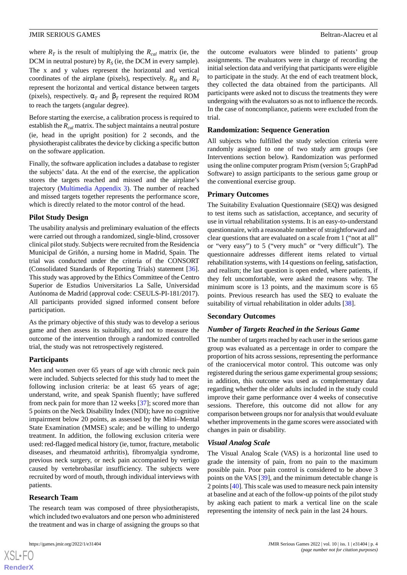where  $R_T$  is the result of multiplying the  $R_{cal}$  matrix (ie, the DCM in neutral posture) by  $R<sub>S</sub>$  (ie, the DCM in every sample). The x and y values represent the horizontal and vertical coordinates of the airplane (pixels), respectively.  $R_H$  and  $R_V$ represent the horizontal and vertical distance between targets (pixels), respectively.  $\alpha_T$  and  $\beta_T$  represent the required ROM to reach the targets (angular degree).

Before starting the exercise, a calibration process is required to establish the *Rcal* matrix. The subject maintains a neutral posture (ie, head in the upright position) for 2 seconds, and the physiotherapist calibrates the device by clicking a specific button on the software application.

Finally, the software application includes a database to register the subjects' data. At the end of the exercise, the application stores the targets reached and missed and the airplane's trajectory ([Multimedia Appendix 3\)](#page-10-9). The number of reached and missed targets together represents the performance score, which is directly related to the motor control of the head.

#### **Pilot Study Design**

The usability analysis and preliminary evaluation of the effects were carried out through a randomized, single-blind, crossover clinical pilot study. Subjects were recruited from the Residencia Municipal de Griñón, a nursing home in Madrid, Spain. The trial was conducted under the criteria of the CONSORT (Consolidated Standards of Reporting Trials) statement [[36\]](#page-12-6). This study was approved by the Ethics Committee of the Centro Superior de Estudios Universitarios La Salle, Universidad Autónoma de Madrid (approval code: CSEULS-PI-181/2017). All participants provided signed informed consent before participation.

As the primary objective of this study was to develop a serious game and then assess its suitability, and not to measure the outcome of the intervention through a randomized controlled trial, the study was not retrospectively registered.

#### **Participants**

Men and women over 65 years of age with chronic neck pain were included. Subjects selected for this study had to meet the following inclusion criteria: be at least 65 years of age; understand, write, and speak Spanish fluently; have suffered from neck pain for more than 12 weeks [[37\]](#page-12-7); scored more than 5 points on the Neck Disability Index (NDI); have no cognitive impairment below 20 points, as assessed by the Mini–Mental State Examination (MMSE) scale; and be willing to undergo treatment. In addition, the following exclusion criteria were used: red-flagged medical history (ie, tumor, fracture, metabolic diseases, and rheumatoid arthritis), fibromyalgia syndrome, previous neck surgery, or neck pain accompanied by vertigo caused by vertebrobasilar insufficiency. The subjects were recruited by word of mouth, through individual interviews with patients.

#### **Research Team**

[XSL](http://www.w3.org/Style/XSL)•FO **[RenderX](http://www.renderx.com/)**

The research team was composed of three physiotherapists, which included two evaluators and one person who administered the treatment and was in charge of assigning the groups so that

the outcome evaluators were blinded to patients' group assignments. The evaluators were in charge of recording the initial selection data and verifying that participants were eligible to participate in the study. At the end of each treatment block, they collected the data obtained from the participants. All participants were asked not to discuss the treatments they were undergoing with the evaluators so as not to influence the records. In the case of noncompliance, patients were excluded from the trial.

#### **Randomization: Sequence Generation**

All subjects who fulfilled the study selection criteria were randomly assigned to one of two study arm groups (see Interventions section below). Randomization was performed using the online computer program Prism (version 5; GraphPad Software) to assign participants to the serious game group or the conventional exercise group.

#### **Primary Outcomes**

The Suitability Evaluation Questionnaire (SEQ) was designed to test items such as satisfaction, acceptance, and security of use in virtual rehabilitation systems. It is an easy-to-understand questionnaire, with a reasonable number of straightforward and clear questions that are evaluated on a scale from 1 ("not at all" or "very easy") to 5 ("very much" or "very difficult"). The questionnaire addresses different items related to virtual rehabilitation systems, with 14 questions on feeling, satisfaction, and realism; the last question is open ended, where patients, if they felt uncomfortable, were asked the reasons why. The minimum score is 13 points, and the maximum score is 65 points. Previous research has used the SEQ to evaluate the suitability of virtual rehabilitation in older adults [\[38](#page-12-8)].

#### **Secondary Outcomes**

#### *Number of Targets Reached in the Serious Game*

The number of targets reached by each user in the serious game group was evaluated as a percentage in order to compare the proportion of hits across sessions, representing the performance of the craniocervical motor control. This outcome was only registered during the serious game experimental group sessions; in addition, this outcome was used as complementary data regarding whether the older adults included in the study could improve their game performance over 4 weeks of consecutive sessions. Therefore, this outcome did not allow for any comparison between groups nor for analysis that would evaluate whether improvements in the game scores were associated with changes in pain or disability.

#### *Visual Analog Scale*

The Visual Analog Scale (VAS) is a horizontal line used to grade the intensity of pain, from no pain to the maximum possible pain. Poor pain control is considered to be above 3 points on the VAS [[39\]](#page-12-9), and the minimum detectable change is 2 points [[40\]](#page-12-10). This scale was used to measure neck pain intensity at baseline and at each of the follow-up points of the pilot study by asking each patient to mark a vertical line on the scale representing the intensity of neck pain in the last 24 hours.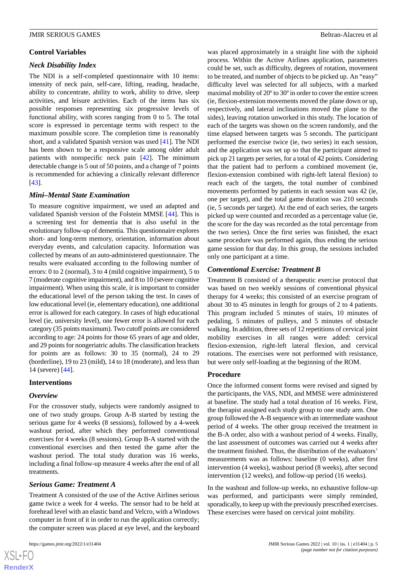#### **Control Variables**

#### *Neck Disability Index*

The NDI is a self-completed questionnaire with 10 items: intensity of neck pain, self-care, lifting, reading, headache, ability to concentrate, ability to work, ability to drive, sleep activities, and leisure activities. Each of the items has six possible responses representing six progressive levels of functional ability, with scores ranging from 0 to 5. The total score is expressed in percentage terms with respect to the maximum possible score. The completion time is reasonably short, and a validated Spanish version was used [[41\]](#page-12-11). The NDI has been shown to be a responsive scale among older adult patients with nonspecific neck pain [[42\]](#page-12-12). The minimum detectable change is 5 out of 50 points, and a change of 7 points is recommended for achieving a clinically relevant difference [[43\]](#page-12-13).

#### *Mini–Mental State Examination*

To measure cognitive impairment, we used an adapted and validated Spanish version of the Folstein MMSE [[44\]](#page-12-14). This is a screening test for dementia that is also useful in the evolutionary follow-up of dementia. This questionnaire explores short- and long-term memory, orientation, information about everyday events, and calculation capacity. Information was collected by means of an auto-administered questionnaire. The results were evaluated according to the following number of errors: 0 to 2 (normal), 3 to 4 (mild cognitive impairment), 5 to 7 (moderate cognitive impairment), and 8 to 10 (severe cognitive impairment). When using this scale, it is important to consider the educational level of the person taking the test. In cases of low educational level (ie, elementary education), one additional error is allowed for each category. In cases of high educational level (ie, university level), one fewer error is allowed for each category (35 points maximum). Two cutoff points are considered according to age: 24 points for those 65 years of age and older, and 29 points for nongeriatric adults. The classification brackets for points are as follows: 30 to 35 (normal), 24 to 29 (borderline), 19 to 23 (mild), 14 to 18 (moderate), and less than 14 (severe) [[44\]](#page-12-14).

#### **Interventions**

#### *Overview*

For the crossover study, subjects were randomly assigned to one of two study groups. Group A-B started by testing the serious game for 4 weeks (8 sessions), followed by a 4-week washout period, after which they performed conventional exercises for 4 weeks (8 sessions). Group B-A started with the conventional exercises and then tested the game after the washout period. The total study duration was 16 weeks, including a final follow-up measure 4 weeks after the end of all treatments.

#### *Serious Game: Treatment A*

Treatment A consisted of the use of the Active Airlines serious game twice a week for 4 weeks. The sensor had to be held at forehead level with an elastic band and Velcro, with a Windows computer in front of it in order to run the application correctly; the computer screen was placed at eye level, and the keyboard

was placed approximately in a straight line with the xiphoid process. Within the Active Airlines application, parameters could be set, such as difficulty, degrees of rotation, movement to be treated, and number of objects to be picked up. An "easy" difficulty level was selected for all subjects, with a marked maximal mobility of 20º to 30º in order to cover the entire screen (ie, flexion-extension movements moved the plane down or up, respectively, and lateral inclinations moved the plane to the sides), leaving rotation unworked in this study. The location of each of the targets was shown on the screen randomly, and the time elapsed between targets was 5 seconds. The participant performed the exercise twice (ie, two series) in each session, and the application was set up so that the participant aimed to pick up 21 targets per series, for a total of 42 points. Considering that the patient had to perform a combined movement (ie, flexion-extension combined with right-left lateral flexion) to reach each of the targets, the total number of combined movements performed by patients in each session was 42 (ie, one per target), and the total game duration was 210 seconds (ie, 5 seconds per target). At the end of each series, the targets picked up were counted and recorded as a percentage value (ie, the score for the day was recorded as the total percentage from the two series). Once the first series was finished, the exact same procedure was performed again, thus ending the serious game session for that day. In this group, the sessions included only one participant at a time.

#### *Conventional Exercise: Treatment B*

Treatment B consisted of a therapeutic exercise protocol that was based on two weekly sessions of conventional physical therapy for 4 weeks; this consisted of an exercise program of about 30 to 45 minutes in length for groups of 2 to 4 patients. This program included 5 minutes of stairs, 10 minutes of pedaling, 5 minutes of pulleys, and 5 minutes of obstacle walking. In addition, three sets of 12 repetitions of cervical joint mobility exercises in all ranges were added: cervical flexion-extension, right-left lateral flexion, and cervical rotations. The exercises were not performed with resistance, but were only self-loading at the beginning of the ROM.

#### **Procedure**

Once the informed consent forms were revised and signed by the participants, the VAS, NDI, and MMSE were administered at baseline. The study had a total duration of 16 weeks. First, the therapist assigned each study group to one study arm. One group followed the A-B sequence with an intermediate washout period of 4 weeks. The other group received the treatment in the B-A order, also with a washout period of 4 weeks. Finally, the last assessment of outcomes was carried out 4 weeks after the treatment finished. Thus, the distribution of the evaluators' measurements was as follows: baseline (0 weeks), after first intervention (4 weeks), washout period (8 weeks), after second intervention (12 weeks), and follow-up period (16 weeks).

In the washout and follow-up weeks, no exhaustive follow-up was performed, and participants were simply reminded, sporadically, to keep up with the previously prescribed exercises. These exercises were based on cervical joint mobility.

 $XSI - F($ **[RenderX](http://www.renderx.com/)**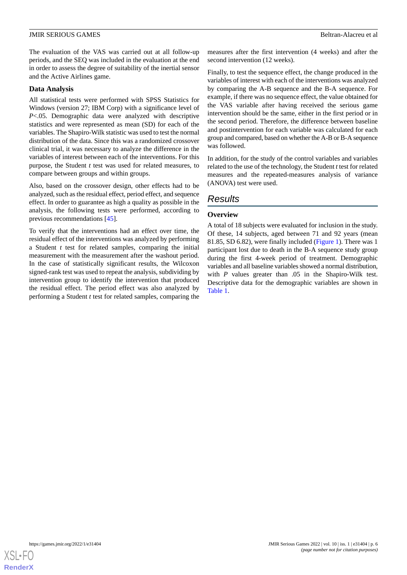The evaluation of the VAS was carried out at all follow-up periods, and the SEQ was included in the evaluation at the end in order to assess the degree of suitability of the inertial sensor and the Active Airlines game.

#### **Data Analysis**

All statistical tests were performed with SPSS Statistics for Windows (version 27; IBM Corp) with a significance level of *P*<.05. Demographic data were analyzed with descriptive statistics and were represented as mean (SD) for each of the variables. The Shapiro-Wilk statistic was used to test the normal distribution of the data. Since this was a randomized crossover clinical trial, it was necessary to analyze the difference in the variables of interest between each of the interventions. For this purpose, the Student *t* test was used for related measures, to compare between groups and within groups.

Also, based on the crossover design, other effects had to be analyzed, such as the residual effect, period effect, and sequence effect. In order to guarantee as high a quality as possible in the analysis, the following tests were performed, according to previous recommendations [\[45](#page-12-15)].

To verify that the interventions had an effect over time, the residual effect of the interventions was analyzed by performing a Student *t* test for related samples, comparing the initial measurement with the measurement after the washout period. In the case of statistically significant results, the Wilcoxon signed-rank test was used to repeat the analysis, subdividing by intervention group to identify the intervention that produced the residual effect. The period effect was also analyzed by performing a Student *t* test for related samples, comparing the measures after the first intervention (4 weeks) and after the second intervention (12 weeks).

Finally, to test the sequence effect, the change produced in the variables of interest with each of the interventions was analyzed by comparing the A-B sequence and the B-A sequence. For example, if there was no sequence effect, the value obtained for the VAS variable after having received the serious game intervention should be the same, either in the first period or in the second period. Therefore, the difference between baseline and postintervention for each variable was calculated for each group and compared, based on whether the A-B or B-A sequence was followed.

In addition, for the study of the control variables and variables related to the use of the technology, the Student *t*test for related measures and the repeated-measures analysis of variance (ANOVA) test were used.

## *Results*

#### **Overview**

A total of 18 subjects were evaluated for inclusion in the study. Of these, 14 subjects, aged between 71 and 92 years (mean 81.85, SD 6.82), were finally included [\(Figure 1\)](#page-6-0). There was 1 participant lost due to death in the B-A sequence study group during the first 4-week period of treatment. Demographic variables and all baseline variables showed a normal distribution, with *P* values greater than .05 in the Shapiro-Wilk test. Descriptive data for the demographic variables are shown in [Table 1](#page-7-0).

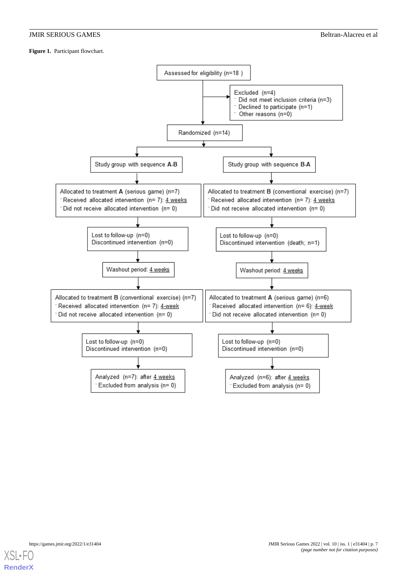#### <span id="page-6-0"></span>**Figure 1.** Participant flowchart.



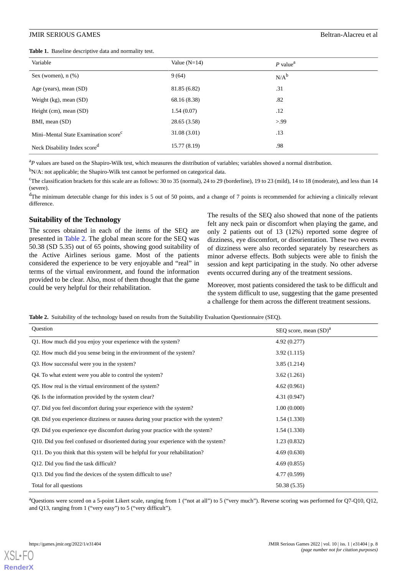<span id="page-7-0"></span>**Table 1.** Baseline descriptive data and normality test.

| Variable                                         | Value $(N=14)$ | $P$ value <sup>a</sup> |
|--------------------------------------------------|----------------|------------------------|
| Sex (women), $n$ $%$ )                           | 9(64)          | $N/A^b$                |
| Age (years), mean (SD)                           | 81.85 (6.82)   | .31                    |
| Weight $(kg)$ , mean $(SD)$                      | 68.16 (8.38)   | .82                    |
| Height $(cm)$ , mean $(SD)$                      | 1.54(0.07)     | .12                    |
| BMI, mean (SD)                                   | 28.65 (3.58)   | > 99                   |
| Mini-Mental State Examination score <sup>c</sup> | 31.08(3.01)    | .13                    |
| Neck Disability Index score <sup>d</sup>         | 15.77(8.19)    | .98                    |

<sup>a</sup>P values are based on the Shapiro-Wilk test, which measures the distribution of variables; variables showed a normal distribution.

 $b$ N/A: not applicable; the Shapiro-Wilk test cannot be performed on categorical data.

<sup>c</sup>The classification brackets for this scale are as follows: 30 to 35 (normal), 24 to 29 (borderline), 19 to 23 (mild), 14 to 18 (moderate), and less than 14 (severe).

<sup>d</sup>The minimum detectable change for this index is 5 out of 50 points, and a change of 7 points is recommended for achieving a clinically relevant difference.

#### **Suitability of the Technology**

The scores obtained in each of the items of the SEQ are presented in [Table 2](#page-7-1). The global mean score for the SEQ was 50.38 (SD 5.35) out of 65 points, showing good suitability of the Active Airlines serious game. Most of the patients considered the experience to be very enjoyable and "real" in terms of the virtual environment, and found the information provided to be clear. Also, most of them thought that the game could be very helpful for their rehabilitation.

The results of the SEQ also showed that none of the patients felt any neck pain or discomfort when playing the game, and only 2 patients out of 13 (12%) reported some degree of dizziness, eye discomfort, or disorientation. These two events of dizziness were also recorded separately by researchers as minor adverse effects. Both subjects were able to finish the session and kept participating in the study. No other adverse events occurred during any of the treatment sessions.

Moreover, most patients considered the task to be difficult and the system difficult to use, suggesting that the game presented a challenge for them across the different treatment sessions.

<span id="page-7-1"></span>**Table 2.** Suitability of the technology based on results from the Suitability Evaluation Questionnaire (SEQ).

| Question                                                                          | SEQ score, mean $(SD)^a$ |
|-----------------------------------------------------------------------------------|--------------------------|
| Q1. How much did you enjoy your experience with the system?                       | 4.92(0.277)              |
| Q2. How much did you sense being in the environment of the system?                | 3.92(1.115)              |
| Q3. How successful were you in the system?                                        | 3.85(1.214)              |
| Q4. To what extent were you able to control the system?                           | 3.62(1.261)              |
| Q5. How real is the virtual environment of the system?                            | 4.62(0.961)              |
| Q6. Is the information provided by the system clear?                              | 4.31(0.947)              |
| Q7. Did you feel discomfort during your experience with the system?               | 1.00(0.000)              |
| Q8. Did you experience dizziness or nausea during your practice with the system?  | 1.54(1.330)              |
| Q9. Did you experience eye discomfort during your practice with the system?       | 1.54(1.330)              |
| Q10. Did you feel confused or disoriented during your experience with the system? | 1.23(0.832)              |
| Q11. Do you think that this system will be helpful for your rehabilitation?       | 4.69(0.630)              |
| Q12. Did you find the task difficult?                                             | 4.69(0.855)              |
| Q13. Did you find the devices of the system difficult to use?                     | 4.77 (0.599)             |
| Total for all questions                                                           | 50.38 (5.35)             |

<sup>a</sup>Questions were scored on a 5-point Likert scale, ranging from 1 ("not at all") to 5 ("very much"). Reverse scoring was performed for Q7-Q10, Q12, and Q13, ranging from 1 ("very easy") to 5 ("very difficult").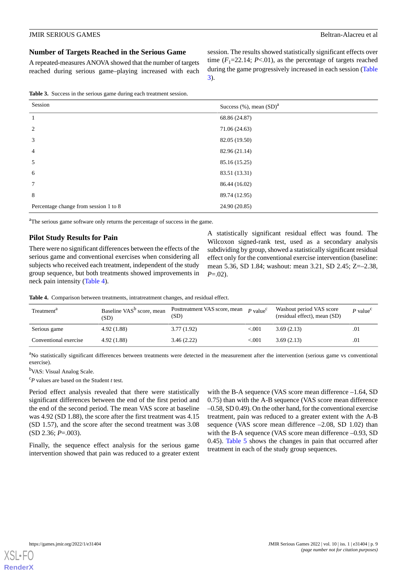#### **Number of Targets Reached in the Serious Game**

A repeated-measures ANOVA showed that the number of targets reached during serious game–playing increased with each session. The results showed statistically significant effects over time  $(F_1=22.14; P<.01)$ , as the percentage of targets reached during the game progressively increased in each session ([Table](#page-8-0) [3\)](#page-8-0).

<span id="page-8-0"></span>**Table 3.** Success in the serious game during each treatment session.

| Session                               | Success $(\%)$ , mean $(SD)^a$ |
|---------------------------------------|--------------------------------|
| 1                                     | 68.86 (24.87)                  |
| 2                                     | 71.06 (24.63)                  |
| 3                                     | 82.05 (19.50)                  |
| $\overline{4}$                        | 82.96 (21.14)                  |
| 5                                     | 85.16 (15.25)                  |
| 6                                     | 83.51 (13.31)                  |
| $\tau$                                | 86.44 (16.02)                  |
| 8                                     | 89.74 (12.95)                  |
| Percentage change from session 1 to 8 | 24.90 (20.85)                  |

<sup>a</sup>The serious game software only returns the percentage of success in the game.

#### **Pilot Study Results for Pain**

<span id="page-8-1"></span>There were no significant differences between the effects of the serious game and conventional exercises when considering all subjects who received each treatment, independent of the study group sequence, but both treatments showed improvements in neck pain intensity ([Table 4](#page-8-1)).

A statistically significant residual effect was found. The Wilcoxon signed-rank test, used as a secondary analysis subdividing by group, showed a statistically significant residual effect only for the conventional exercise intervention (baseline: mean 5.36, SD 1.84; washout: mean 3.21, SD 2.45; Z=–2.38, *P*=.02).

**Table 4.** Comparison between treatments, intratreatment changes, and residual effect.

| Treatment <sup>a</sup> | Baseline VAS <sup>b</sup> score, mean<br>(SD) | Posttreatment VAS score, mean<br>(SD) | $P$ value <sup>c</sup> | Washout period VAS score<br>(residual effect), mean (SD) | P value <sup>c</sup> |
|------------------------|-----------------------------------------------|---------------------------------------|------------------------|----------------------------------------------------------|----------------------|
| Serious game           | 4.92(1.88)                                    | 3.77(1.92)                            | < 001                  | 3.69(2.13)                                               | .01                  |
| Conventional exercise  | 4.92(1.88)                                    | 3.46(2.22)                            | ${<}001$               | 3.69(2.13)                                               | .01                  |

<sup>a</sup>No statistically significant differences between treatments were detected in the measurement after the intervention (serious game vs conventional exercise).

<sup>b</sup>VAS: Visual Analog Scale.

<sup>c</sup>*P* values are based on the Student *t* test.

Period effect analysis revealed that there were statistically significant differences between the end of the first period and the end of the second period. The mean VAS score at baseline was 4.92 (SD 1.88), the score after the first treatment was 4.15 (SD 1.57), and the score after the second treatment was 3.08 (SD 2.36; *P*=.003).

Finally, the sequence effect analysis for the serious game intervention showed that pain was reduced to a greater extent

with the B-A sequence (VAS score mean difference –1.64, SD 0.75) than with the A-B sequence (VAS score mean difference –0.58, SD 0.49). On the other hand, for the conventional exercise treatment, pain was reduced to a greater extent with the A-B sequence (VAS score mean difference  $-2.08$ , SD 1.02) than with the B-A sequence (VAS score mean difference  $-0.93$ , SD 0.45). [Table 5](#page-9-0) shows the changes in pain that occurred after treatment in each of the study group sequences.

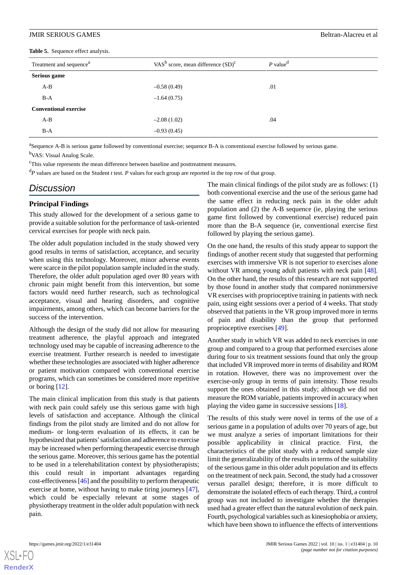<span id="page-9-0"></span>**Table 5.** Sequence effect analysis.

| Treatment and sequence <sup>a</sup> | VAS <sup>b</sup> score, mean difference $(SD)^c$ | $P$ value <sup>d</sup> |  |
|-------------------------------------|--------------------------------------------------|------------------------|--|
| Serious game                        |                                                  |                        |  |
| $A-B$                               | $-0.58(0.49)$                                    | .01                    |  |
| $B-A$                               | $-1.64(0.75)$                                    |                        |  |
| <b>Conventional exercise</b>        |                                                  |                        |  |
| $A-B$                               | $-2.08(1.02)$                                    | .04                    |  |
| $B-A$                               | $-0.93(0.45)$                                    |                        |  |

<sup>a</sup>Sequence A-B is serious game followed by conventional exercise; sequence B-A is conventional exercise followed by serious game. <sup>b</sup>VAS: Visual Analog Scale.

<sup>c</sup>This value represents the mean difference between baseline and posttreatment measures.

<sup>d</sup>*P* values are based on the Student *t* test. *P* values for each group are reported in the top row of that group.

## *Discussion*

#### **Principal Findings**

This study allowed for the development of a serious game to provide a suitable solution for the performance of task-oriented cervical exercises for people with neck pain.

The older adult population included in the study showed very good results in terms of satisfaction, acceptance, and security when using this technology. Moreover, minor adverse events were scarce in the pilot population sample included in the study. Therefore, the older adult population aged over 80 years with chronic pain might benefit from this intervention, but some factors would need further research, such as technological acceptance, visual and hearing disorders, and cognitive impairments, among others, which can become barriers for the success of the intervention.

Although the design of the study did not allow for measuring treatment adherence, the playful approach and integrated technology used may be capable of increasing adherence to the exercise treatment. Further research is needed to investigate whether these technologies are associated with higher adherence or patient motivation compared with conventional exercise programs, which can sometimes be considered more repetitive or boring [\[12](#page-11-4)].

The main clinical implication from this study is that patients with neck pain could safely use this serious game with high levels of satisfaction and acceptance. Although the clinical findings from the pilot study are limited and do not allow for medium- or long-term evaluation of its effects, it can be hypothesized that patients'satisfaction and adherence to exercise may be increased when performing therapeutic exercise through the serious game. Moreover, this serious game has the potential to be used in a telerehabilitation context by physiotherapists; this could result in important advantages regarding cost-effectiveness [\[46](#page-12-16)] and the possibility to perform therapeutic exercise at home, without having to make tiring journeys [[47\]](#page-12-17), which could be especially relevant at some stages of physiotherapy treatment in the older adult population with neck pain.

The main clinical findings of the pilot study are as follows: (1) both conventional exercise and the use of the serious game had the same effect in reducing neck pain in the older adult population and (2) the A-B sequence (ie, playing the serious game first followed by conventional exercise) reduced pain more than the B-A sequence (ie, conventional exercise first followed by playing the serious game).

On the one hand, the results of this study appear to support the findings of another recent study that suggested that performing exercises with immersive VR is not superior to exercises alone without VR among young adult patients with neck pain [[48\]](#page-12-18). On the other hand, the results of this research are not supported by those found in another study that compared nonimmersive VR exercises with proprioceptive training in patients with neck pain, using eight sessions over a period of 4 weeks. That study observed that patients in the VR group improved more in terms of pain and disability than the group that performed proprioceptive exercises [\[49](#page-13-0)].

Another study in which VR was added to neck exercises in one group and compared to a group that performed exercises alone during four to six treatment sessions found that only the group that included VR improved more in terms of disability and ROM in rotation. However, there was no improvement over the exercise-only group in terms of pain intensity. Those results support the ones obtained in this study; although we did not measure the ROM variable, patients improved in accuracy when playing the video game in successive sessions [[18\]](#page-11-10).

The results of this study were novel in terms of the use of a serious game in a population of adults over 70 years of age, but we must analyze a series of important limitations for their possible applicability in clinical practice. First, the characteristics of the pilot study with a reduced sample size limit the generalizability of the results in terms of the suitability of the serious game in this older adult population and its effects on the treatment of neck pain. Second, the study had a crossover versus parallel design; therefore, it is more difficult to demonstrate the isolated effects of each therapy. Third, a control group was not included to investigate whether the therapies used had a greater effect than the natural evolution of neck pain. Fourth, psychological variables such as kinesiophobia or anxiety, which have been shown to influence the effects of interventions

```
XSL•FO
RenderX
```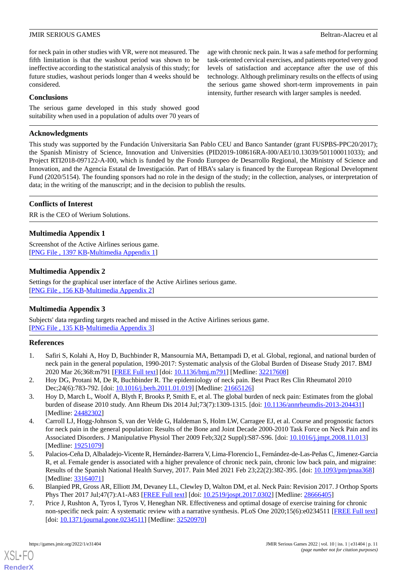age with chronic neck pain. It was a safe method for performing task-oriented cervical exercises, and patients reported very good levels of satisfaction and acceptance after the use of this technology. Although preliminary results on the effects of using the serious game showed short-term improvements in pain intensity, further research with larger samples is needed.

for neck pain in other studies with VR, were not measured. The fifth limitation is that the washout period was shown to be ineffective according to the statistical analysis of this study; for future studies, washout periods longer than 4 weeks should be considered.

#### **Conclusions**

The serious game developed in this study showed good suitability when used in a population of adults over 70 years of

#### **Acknowledgments**

This study was supported by the Fundación Universitaria San Pablo CEU and Banco Santander (grant FUSPBS-PPC20/2017); the Spanish Ministry of Science, Innovation and Universities (PID2019-108616RA-I00/AEI/10.13039/501100011033); and Project RTI2018-097122-A-I00, which is funded by the Fondo Europeo de Desarrollo Regional, the Ministry of Science and Innovation, and the Agencia Estatal de Investigación. Part of HBA's salary is financed by the European Regional Development Fund (2020/5154). The founding sponsors had no role in the design of the study; in the collection, analyses, or interpretation of data; in the writing of the manuscript; and in the decision to publish the results.

#### **Conflicts of Interest**

<span id="page-10-7"></span>RR is the CEO of Werium Solutions.

#### **Multimedia Appendix 1**

<span id="page-10-8"></span>Screenshot of the Active Airlines serious game. [[PNG File , 1397 KB-Multimedia Appendix 1](https://jmir.org/api/download?alt_name=games_v10i1e31404_app1.png&filename=39d23bdd48cb0cf2bf7a4b4b6b2bbfc4.png)]

#### **Multimedia Appendix 2**

<span id="page-10-9"></span>Settings for the graphical user interface of the Active Airlines serious game. [[PNG File , 156 KB-Multimedia Appendix 2](https://jmir.org/api/download?alt_name=games_v10i1e31404_app2.png&filename=4560e203e676f9e9ca5ea04c7341bf2e.png)]

#### **Multimedia Appendix 3**

<span id="page-10-0"></span>Subjects' data regarding targets reached and missed in the Active Airlines serious game. [[PNG File , 135 KB-Multimedia Appendix 3](https://jmir.org/api/download?alt_name=games_v10i1e31404_app3.png&filename=532f8b43264c31e3223751038c89a0d6.png)]

#### <span id="page-10-1"></span>**References**

- <span id="page-10-2"></span>1. Safiri S, Kolahi A, Hoy D, Buchbinder R, Mansournia MA, Bettampadi D, et al. Global, regional, and national burden of neck pain in the general population, 1990-2017: Systematic analysis of the Global Burden of Disease Study 2017. BMJ 2020 Mar 26;368:m791 [\[FREE Full text\]](http://www.bmj.com/lookup/pmidlookup?view=long&pmid=32217608) [doi: [10.1136/bmj.m791](http://dx.doi.org/10.1136/bmj.m791)] [Medline: [32217608\]](http://www.ncbi.nlm.nih.gov/entrez/query.fcgi?cmd=Retrieve&db=PubMed&list_uids=32217608&dopt=Abstract)
- <span id="page-10-3"></span>2. Hoy DG, Protani M, De R, Buchbinder R. The epidemiology of neck pain. Best Pract Res Clin Rheumatol 2010 Dec; 24(6): 783-792. [doi: 10.1016/j.berh. 2011.01.019] [Medline: [21665126](http://www.ncbi.nlm.nih.gov/entrez/query.fcgi?cmd=Retrieve&db=PubMed&list_uids=21665126&dopt=Abstract)]
- 3. Hoy D, March L, Woolf A, Blyth F, Brooks P, Smith E, et al. The global burden of neck pain: Estimates from the global burden of disease 2010 study. Ann Rheum Dis 2014 Jul;73(7):1309-1315. [doi: [10.1136/annrheumdis-2013-204431\]](http://dx.doi.org/10.1136/annrheumdis-2013-204431) [Medline: [24482302](http://www.ncbi.nlm.nih.gov/entrez/query.fcgi?cmd=Retrieve&db=PubMed&list_uids=24482302&dopt=Abstract)]
- <span id="page-10-4"></span>4. Carroll LJ, Hogg-Johnson S, van der Velde G, Haldeman S, Holm LW, Carragee EJ, et al. Course and prognostic factors for neck pain in the general population: Results of the Bone and Joint Decade 2000-2010 Task Force on Neck Pain and its Associated Disorders. J Manipulative Physiol Ther 2009 Feb;32(2 Suppl):S87-S96. [doi: [10.1016/j.jmpt.2008.11.013](http://dx.doi.org/10.1016/j.jmpt.2008.11.013)] [Medline: [19251079](http://www.ncbi.nlm.nih.gov/entrez/query.fcgi?cmd=Retrieve&db=PubMed&list_uids=19251079&dopt=Abstract)]
- <span id="page-10-6"></span><span id="page-10-5"></span>5. Palacios-Ceña D, Albaladejo-Vicente R, Hernández-Barrera V, Lima-Florencio L, Fernández-de-Las-Peñas C, Jimenez-Garcia R, et al. Female gender is associated with a higher prevalence of chronic neck pain, chronic low back pain, and migraine: Results of the Spanish National Health Survey, 2017. Pain Med 2021 Feb 23;22(2):382-395. [doi: [10.1093/pm/pnaa368](http://dx.doi.org/10.1093/pm/pnaa368)] [Medline: [33164071](http://www.ncbi.nlm.nih.gov/entrez/query.fcgi?cmd=Retrieve&db=PubMed&list_uids=33164071&dopt=Abstract)]
- 6. Blanpied PR, Gross AR, Elliott JM, Devaney LL, Clewley D, Walton DM, et al. Neck Pain: Revision 2017. J Orthop Sports Phys Ther 2017 Jul;47(7):A1-A83 [[FREE Full text](https://www.jospt.org/doi/pdf/10.2519/jospt.2017.0302)] [doi: [10.2519/jospt.2017.0302](http://dx.doi.org/10.2519/jospt.2017.0302)] [Medline: [28666405\]](http://www.ncbi.nlm.nih.gov/entrez/query.fcgi?cmd=Retrieve&db=PubMed&list_uids=28666405&dopt=Abstract)
- 7. Price J, Rushton A, Tyros I, Tyros V, Heneghan NR. Effectiveness and optimal dosage of exercise training for chronic non-specific neck pain: A systematic review with a narrative synthesis. PLoS One 2020;15(6):e0234511 [[FREE Full text](https://dx.plos.org/10.1371/journal.pone.0234511)] [doi: [10.1371/journal.pone.0234511\]](http://dx.doi.org/10.1371/journal.pone.0234511) [Medline: [32520970\]](http://www.ncbi.nlm.nih.gov/entrez/query.fcgi?cmd=Retrieve&db=PubMed&list_uids=32520970&dopt=Abstract)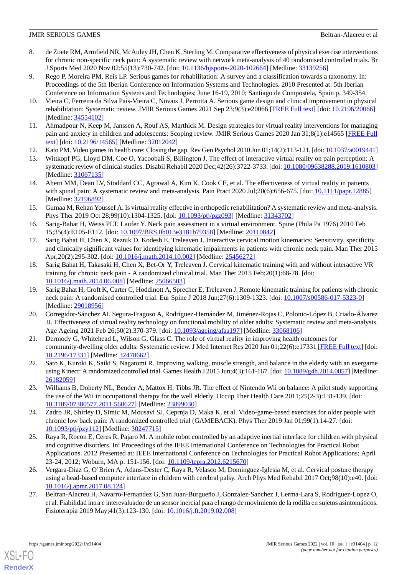- <span id="page-11-0"></span>8. de Zoete RM, Armfield NR, McAuley JH, Chen K, Sterling M. Comparative effectiveness of physical exercise interventions for chronic non-specific neck pain: A systematic review with network meta-analysis of 40 randomised controlled trials. Br J Sports Med 2020 Nov 02;55(13):730-742. [doi: [10.1136/bjsports-2020-102664](http://dx.doi.org/10.1136/bjsports-2020-102664)] [Medline: [33139256](http://www.ncbi.nlm.nih.gov/entrez/query.fcgi?cmd=Retrieve&db=PubMed&list_uids=33139256&dopt=Abstract)]
- <span id="page-11-1"></span>9. Rego P, Moreira PM, Reis LP. Serious games for rehabilitation: A survey and a classification towards a taxonomy. In: Proceedings of the 5th Iberian Conference on Information Systems and Technologies. 2010 Presented at: 5th Iberian Conference on Information Systems and Technologies; June 16-19, 2010; Santiago de Compostela, Spain p. 349-354.
- <span id="page-11-3"></span><span id="page-11-2"></span>10. Vieira C, Ferreira da Silva Pais-Vieira C, Novais J, Perrotta A. Serious game design and clinical improvement in physical rehabilitation: Systematic review. JMIR Serious Games 2021 Sep 23;9(3):e20066 [\[FREE Full text](https://games.jmir.org/2021/3/e20066/)] [doi: [10.2196/20066](http://dx.doi.org/10.2196/20066)] [Medline: [34554102](http://www.ncbi.nlm.nih.gov/entrez/query.fcgi?cmd=Retrieve&db=PubMed&list_uids=34554102&dopt=Abstract)]
- <span id="page-11-4"></span>11. Ahmadpour N, Keep M, Janssen A, Rouf AS, Marthick M. Design strategies for virtual reality interventions for managing pain and anxiety in children and adolescents: Scoping review. JMIR Serious Games 2020 Jan 31;8(1):e14565 [\[FREE Full](https://games.jmir.org/2020/1/e14565/) [text](https://games.jmir.org/2020/1/e14565/)] [doi: [10.2196/14565\]](http://dx.doi.org/10.2196/14565) [Medline: [32012042\]](http://www.ncbi.nlm.nih.gov/entrez/query.fcgi?cmd=Retrieve&db=PubMed&list_uids=32012042&dopt=Abstract)
- <span id="page-11-5"></span>12. Kato PM. Video games in health care: Closing the gap. Rev Gen Psychol 2010 Jun 01;14(2):113-121. [doi: [10.1037/a0019441\]](http://dx.doi.org/10.1037/a0019441)
- <span id="page-11-7"></span>13. Wittkopf PG, Lloyd DM, Coe O, Yacoobali S, Billington J. The effect of interactive virtual reality on pain perception: A systematic review of clinical studies. Disabil Rehabil 2020 Dec;42(26):3722-3733. [doi: [10.1080/09638288.2019.1610803\]](http://dx.doi.org/10.1080/09638288.2019.1610803) [Medline: [31067135](http://www.ncbi.nlm.nih.gov/entrez/query.fcgi?cmd=Retrieve&db=PubMed&list_uids=31067135&dopt=Abstract)]
- <span id="page-11-6"></span>14. Ahern MM, Dean LV, Stoddard CC, Agrawal A, Kim K, Cook CE, et al. The effectiveness of virtual reality in patients with spinal pain: A systematic review and meta-analysis. Pain Pract 2020 Jul; 20(6):656-675. [doi: [10.1111/papr.12885\]](http://dx.doi.org/10.1111/papr.12885) [Medline: [32196892](http://www.ncbi.nlm.nih.gov/entrez/query.fcgi?cmd=Retrieve&db=PubMed&list_uids=32196892&dopt=Abstract)]
- <span id="page-11-8"></span>15. Gumaa M, Rehan Youssef A. Is virtual reality effective in orthopedic rehabilitation? A systematic review and meta-analysis. Phys Ther 2019 Oct 28;99(10):1304-1325. [doi: [10.1093/ptj/pzz093\]](http://dx.doi.org/10.1093/ptj/pzz093) [Medline: [31343702](http://www.ncbi.nlm.nih.gov/entrez/query.fcgi?cmd=Retrieve&db=PubMed&list_uids=31343702&dopt=Abstract)]
- <span id="page-11-9"></span>16. Sarig-Bahat H, Weiss PLT, Laufer Y. Neck pain assessment in a virtual environment. Spine (Phila Pa 1976) 2010 Feb 15;35(4):E105-E112. [doi: [10.1097/BRS.0b013e3181b79358\]](http://dx.doi.org/10.1097/BRS.0b013e3181b79358) [Medline: [20110842\]](http://www.ncbi.nlm.nih.gov/entrez/query.fcgi?cmd=Retrieve&db=PubMed&list_uids=20110842&dopt=Abstract)
- <span id="page-11-10"></span>17. Sarig Bahat H, Chen X, Reznik D, Kodesh E, Treleaven J. Interactive cervical motion kinematics: Sensitivity, specificity and clinically significant values for identifying kinematic impairments in patients with chronic neck pain. Man Ther 2015 Apr;20(2):295-302. [doi: [10.1016/j.math.2014.10.002](http://dx.doi.org/10.1016/j.math.2014.10.002)] [Medline: [25456272\]](http://www.ncbi.nlm.nih.gov/entrez/query.fcgi?cmd=Retrieve&db=PubMed&list_uids=25456272&dopt=Abstract)
- <span id="page-11-11"></span>18. Sarig Bahat H, Takasaki H, Chen X, Bet-Or Y, Treleaven J. Cervical kinematic training with and without interactive VR training for chronic neck pain - A randomized clinical trial. Man Ther 2015 Feb;20(1):68-78. [doi: [10.1016/j.math.2014.06.008\]](http://dx.doi.org/10.1016/j.math.2014.06.008) [Medline: [25066503](http://www.ncbi.nlm.nih.gov/entrez/query.fcgi?cmd=Retrieve&db=PubMed&list_uids=25066503&dopt=Abstract)]
- <span id="page-11-12"></span>19. Sarig Bahat H, Croft K, Carter C, Hoddinott A, Sprecher E, Treleaven J. Remote kinematic training for patients with chronic neck pain: A randomised controlled trial. Eur Spine J 2018 Jun;27(6):1309-1323. [doi: [10.1007/s00586-017-5323-0\]](http://dx.doi.org/10.1007/s00586-017-5323-0) [Medline: [29018956](http://www.ncbi.nlm.nih.gov/entrez/query.fcgi?cmd=Retrieve&db=PubMed&list_uids=29018956&dopt=Abstract)]
- <span id="page-11-13"></span>20. Corregidor-Sánchez AI, Segura-Fragoso A, Rodríguez-Hernández M, Jiménez-Rojas C, Polonio-López B, Criado-Álvarez JJ. Effectiveness of virtual reality technology on functional mobility of older adults: Systematic review and meta-analysis. Age Ageing 2021 Feb 26;50(2):370-379. [doi: [10.1093/ageing/afaa197\]](http://dx.doi.org/10.1093/ageing/afaa197) [Medline: [33068106\]](http://www.ncbi.nlm.nih.gov/entrez/query.fcgi?cmd=Retrieve&db=PubMed&list_uids=33068106&dopt=Abstract)
- <span id="page-11-15"></span><span id="page-11-14"></span>21. Dermody G, Whitehead L, Wilson G, Glass C. The role of virtual reality in improving health outcomes for community-dwelling older adults: Systematic review. J Med Internet Res 2020 Jun 01;22(6):e17331 [[FREE Full text](https://www.jmir.org/2020/6/e17331/)] [doi: [10.2196/17331\]](http://dx.doi.org/10.2196/17331) [Medline: [32478662\]](http://www.ncbi.nlm.nih.gov/entrez/query.fcgi?cmd=Retrieve&db=PubMed&list_uids=32478662&dopt=Abstract)
- <span id="page-11-16"></span>22. Sato K, Kuroki K, Saiki S, Nagatomi R. Improving walking, muscle strength, and balance in the elderly with an exergame using Kinect: A randomized controlled trial. Games Health J 2015 Jun;4(3):161-167. [doi: [10.1089/g4h.2014.0057](http://dx.doi.org/10.1089/g4h.2014.0057)] [Medline: [26182059](http://www.ncbi.nlm.nih.gov/entrez/query.fcgi?cmd=Retrieve&db=PubMed&list_uids=26182059&dopt=Abstract)]
- <span id="page-11-17"></span>23. Williams B, Doherty NL, Bender A, Mattox H, Tibbs JR. The effect of Nintendo Wii on balance: A pilot study supporting the use of the Wii in occupational therapy for the well elderly. Occup Ther Health Care 2011;25(2-3):131-139. [doi: [10.3109/07380577.2011.560627\]](http://dx.doi.org/10.3109/07380577.2011.560627) [Medline: [23899030\]](http://www.ncbi.nlm.nih.gov/entrez/query.fcgi?cmd=Retrieve&db=PubMed&list_uids=23899030&dopt=Abstract)
- <span id="page-11-18"></span>24. Zadro JR, Shirley D, Simic M, Mousavi SJ, Ceprnja D, Maka K, et al. Video-game-based exercises for older people with chronic low back pain: A randomized controlled trial (GAMEBACK). Phys Ther 2019 Jan 01;99(1):14-27. [doi: [10.1093/ptj/pzy112\]](http://dx.doi.org/10.1093/ptj/pzy112) [Medline: [30247715](http://www.ncbi.nlm.nih.gov/entrez/query.fcgi?cmd=Retrieve&db=PubMed&list_uids=30247715&dopt=Abstract)]
- <span id="page-11-19"></span>25. Raya R, Rocon E, Ceres R, Pajaro M. A mobile robot controlled by an adaptive inertial interface for children with physical and cognitive disorders. In: Proceedings of the IEEE International Conference on Technologies for Practical Robot Applications. 2012 Presented at: IEEE International Conference on Technologies for Practical Robot Applications; April 23-24, 2012; Woburn, MA p. 151-156. [doi: [10.1109/tepra.2012.6215670](http://dx.doi.org/10.1109/tepra.2012.6215670)]
- 26. Vergara-Diaz G, O'Brien A, Adans-Dester C, Raya R, Velasco M, Dominguez-Iglesia M, et al. Cervical posture therapy using a head-based computer interface in children with cerebral palsy. Arch Phys Med Rehabil 2017 Oct;98(10):e40. [doi: [10.1016/j.apmr.2017.08.124\]](http://dx.doi.org/10.1016/j.apmr.2017.08.124)
- 27. Beltran-Alacreu H, Navarro-Fernandez G, San Juan-Burgueño J, Gonzalez-Sanchez J, Lerma-Lara S, Rodriguez-Lopez O, et al. Fiabilidad intra e interevaluador de un sensor inercial para el rango de movimiento de la rodilla en sujetos asintomáticos. Fisioterapia 2019 May;41(3):123-130. [doi: [10.1016/j.ft.2019.02.008](http://dx.doi.org/10.1016/j.ft.2019.02.008)]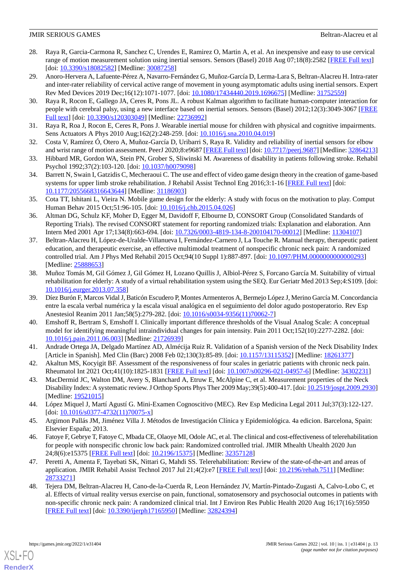- 28. Raya R, Garcia-Carmona R, Sanchez C, Urendes E, Ramirez O, Martin A, et al. An inexpensive and easy to use cervical range of motion measurement solution using inertial sensors. Sensors (Basel) 2018 Aug 07;18(8):2582 [\[FREE Full text\]](https://www.mdpi.com/resolver?pii=s18082582) [doi: [10.3390/s18082582](http://dx.doi.org/10.3390/s18082582)] [Medline: [30087258\]](http://www.ncbi.nlm.nih.gov/entrez/query.fcgi?cmd=Retrieve&db=PubMed&list_uids=30087258&dopt=Abstract)
- <span id="page-12-0"></span>29. Anoro-Hervera A, Lafuente-Pérez A, Navarro-Fernández G, Muñoz-García D, Lerma-Lara S, Beltran-Alacreu H. Intra-rater and inter-rater reliability of cervical active range of movement in young asymptomatic adults using inertial sensors. Expert Rev Med Devices 2019 Dec;16(12):1071-1077. [doi: [10.1080/17434440.2019.1696675\]](http://dx.doi.org/10.1080/17434440.2019.1696675) [Medline: [31752559\]](http://www.ncbi.nlm.nih.gov/entrez/query.fcgi?cmd=Retrieve&db=PubMed&list_uids=31752559&dopt=Abstract)
- <span id="page-12-1"></span>30. Raya R, Rocon E, Gallego JA, Ceres R, Pons JL. A robust Kalman algorithm to facilitate human-computer interaction for people with cerebral palsy, using a new interface based on inertial sensors. Sensors (Basel) 2012;12(3):3049-3067 [[FREE](https://www.mdpi.com/resolver?pii=s120303049) [Full text\]](https://www.mdpi.com/resolver?pii=s120303049) [doi: [10.3390/s120303049](http://dx.doi.org/10.3390/s120303049)] [Medline: [22736992](http://www.ncbi.nlm.nih.gov/entrez/query.fcgi?cmd=Retrieve&db=PubMed&list_uids=22736992&dopt=Abstract)]
- <span id="page-12-3"></span><span id="page-12-2"></span>31. Raya R, Roa J, Rocon E, Ceres R, Pons J. Wearable inertial mouse for children with physical and cognitive impairments. Sens Actuators A Phys 2010 Aug;162(2):248-259. [doi: [10.1016/j.sna.2010.04.019\]](http://dx.doi.org/10.1016/j.sna.2010.04.019)
- <span id="page-12-4"></span>32. Costa V, Ramírez Ó, Otero A, Muñoz-García D, Uribarri S, Raya R. Validity and reliability of inertial sensors for elbow and wrist range of motion assessment. PeerJ 2020;8:e9687 [\[FREE Full text](https://doi.org/10.7717/peerj.9687)] [doi: [10.7717/peerj.9687](http://dx.doi.org/10.7717/peerj.9687)] [Medline: [32864213](http://www.ncbi.nlm.nih.gov/entrez/query.fcgi?cmd=Retrieve&db=PubMed&list_uids=32864213&dopt=Abstract)]
- 33. Hibbard MR, Gordon WA, Stein PN, Grober S, Sliwinski M. Awareness of disability in patients following stroke. Rehabil Psychol 1992;37(2):103-120. [doi: [10.1037/h0079098\]](http://dx.doi.org/10.1037/h0079098)
- <span id="page-12-5"></span>34. Barrett N, Swain I, Gatzidis C, Mecheraoui C. The use and effect of video game design theory in the creation of game-based systems for upper limb stroke rehabilitation. J Rehabil Assist Technol Eng 2016;3:1-16 [[FREE Full text](https://journals.sagepub.com/doi/10.1177/2055668316643644?url_ver=Z39.88-2003&rfr_id=ori:rid:crossref.org&rfr_dat=cr_pub%3dpubmed)] [doi: [10.1177/2055668316643644\]](http://dx.doi.org/10.1177/2055668316643644) [Medline: [31186903\]](http://www.ncbi.nlm.nih.gov/entrez/query.fcgi?cmd=Retrieve&db=PubMed&list_uids=31186903&dopt=Abstract)
- <span id="page-12-6"></span>35. Cota TT, Ishitani L, Vieira N. Mobile game design for the elderly: A study with focus on the motivation to play. Comput Human Behav 2015 Oct;51:96-105. [doi: [10.1016/j.chb.2015.04.026\]](http://dx.doi.org/10.1016/j.chb.2015.04.026)
- <span id="page-12-7"></span>36. Altman DG, Schulz KF, Moher D, Egger M, Davidoff F, Elbourne D, CONSORT Group (Consolidated Standards of Reporting Trials). The revised CONSORT statement for reporting randomized trials: Explanation and elaboration. Ann Intern Med 2001 Apr 17;134(8):663-694. [doi: [10.7326/0003-4819-134-8-200104170-00012](http://dx.doi.org/10.7326/0003-4819-134-8-200104170-00012)] [Medline: [11304107\]](http://www.ncbi.nlm.nih.gov/entrez/query.fcgi?cmd=Retrieve&db=PubMed&list_uids=11304107&dopt=Abstract)
- <span id="page-12-8"></span>37. Beltran-Alacreu H, López-de-Uralde-Villanueva I, Fernández-Carnero J, La Touche R. Manual therapy, therapeutic patient education, and therapeutic exercise, an effective multimodal treatment of nonspecific chronic neck pain: A randomized controlled trial. Am J Phys Med Rehabil 2015 Oct;94(10 Suppl 1):887-897. [doi: [10.1097/PHM.0000000000000293\]](http://dx.doi.org/10.1097/PHM.0000000000000293) [Medline: [25888653](http://www.ncbi.nlm.nih.gov/entrez/query.fcgi?cmd=Retrieve&db=PubMed&list_uids=25888653&dopt=Abstract)]
- <span id="page-12-9"></span>38. Muñoz Tomás M, Gil Gómez J, Gil Gómez H, Lozano Quillis J, Albiol-Pérez S, Forcano García M. Suitability of virtual rehabilitation for elderly: A study of a virtual rehabilitation system using the SEQ. Eur Geriatr Med 2013 Sep;4:S109. [doi: [10.1016/j.eurger.2013.07.358](http://dx.doi.org/10.1016/j.eurger.2013.07.358)]
- <span id="page-12-10"></span>39. Díez Burón F, Marcos Vidal J, Baticón Escudero P, Montes Armenteros A, Bermejo López J, Merino García M. Concordancia entre la escala verbal numérica y la escala visual analógica en el seguimiento del dolor agudo postoperatorio. Rev Esp Anestesiol Reanim 2011 Jan;58(5):279-282. [doi: [10.1016/s0034-9356\(11\)70062-7](http://dx.doi.org/10.1016/s0034-9356(11)70062-7)]
- <span id="page-12-12"></span><span id="page-12-11"></span>40. Emshoff R, Bertram S, Emshoff I. Clinically important difference thresholds of the Visual Analog Scale: A conceptual model for identifying meaningful intraindividual changes for pain intensity. Pain 2011 Oct;152(10):2277-2282. [doi: [10.1016/j.pain.2011.06.003\]](http://dx.doi.org/10.1016/j.pain.2011.06.003) [Medline: [21726939\]](http://www.ncbi.nlm.nih.gov/entrez/query.fcgi?cmd=Retrieve&db=PubMed&list_uids=21726939&dopt=Abstract)
- <span id="page-12-13"></span>41. Andrade Ortega JA, Delgado Martínez AD, Almécija Ruiz R. Validation of a Spanish version of the Neck Disability Index [Article in Spanish]. Med Clin (Barc) 2008 Feb 02;130(3):85-89. [doi: [10.1157/13115352](http://dx.doi.org/10.1157/13115352)] [Medline: [18261377\]](http://www.ncbi.nlm.nih.gov/entrez/query.fcgi?cmd=Retrieve&db=PubMed&list_uids=18261377&dopt=Abstract)
- <span id="page-12-14"></span>42. Akaltun MS, Kocyigit BF. Assessment of the responsiveness of four scales in geriatric patients with chronic neck pain. Rheumatol Int 2021 Oct;41(10):1825-1831 [[FREE Full text](http://europepmc.org/abstract/MED/34302231)] [doi: [10.1007/s00296-021-04957-6\]](http://dx.doi.org/10.1007/s00296-021-04957-6) [Medline: [34302231](http://www.ncbi.nlm.nih.gov/entrez/query.fcgi?cmd=Retrieve&db=PubMed&list_uids=34302231&dopt=Abstract)]
- <span id="page-12-15"></span>43. MacDermid JC, Walton DM, Avery S, Blanchard A, Etruw E, McAlpine C, et al. Measurement properties of the Neck Disability Index: A systematic review. J Orthop Sports Phys Ther 2009 May;39(5):400-417. [doi: [10.2519/jospt.2009.2930](http://dx.doi.org/10.2519/jospt.2009.2930)] [Medline: [19521015](http://www.ncbi.nlm.nih.gov/entrez/query.fcgi?cmd=Retrieve&db=PubMed&list_uids=19521015&dopt=Abstract)]
- <span id="page-12-16"></span>44. López Miquel J, Martí Agustí G. Mini-Examen Cognoscitivo (MEC). Rev Esp Medicina Legal 2011 Jul;37(3):122-127. [doi: [10.1016/s0377-4732\(11\)70075-x](http://dx.doi.org/10.1016/s0377-4732(11)70075-x)]
- <span id="page-12-17"></span>45. Argimon Pallás JM, Jiménez Villa J. Métodos de Investigación Clínica y Epidemiológica. 4a edicion. Barcelona, Spain: Elsevier España; 2013.
- <span id="page-12-18"></span>46. Fatoye F, Gebrye T, Fatoye C, Mbada CE, Olaoye MI, Odole AC, et al. The clinical and cost-effectiveness of telerehabilitation for people with nonspecific chronic low back pain: Randomized controlled trial. JMIR Mhealth Uhealth 2020 Jun 24;8(6):e15375 [\[FREE Full text](https://mhealth.jmir.org/2020/6/e15375/)] [doi: [10.2196/15375\]](http://dx.doi.org/10.2196/15375) [Medline: [32357128\]](http://www.ncbi.nlm.nih.gov/entrez/query.fcgi?cmd=Retrieve&db=PubMed&list_uids=32357128&dopt=Abstract)
- 47. Peretti A, Amenta F, Tayebati SK, Nittari G, Mahdi SS. Telerehabilitation: Review of the state-of-the-art and areas of application. JMIR Rehabil Assist Technol 2017 Jul 21;4(2):e7 [\[FREE Full text\]](https://rehab.jmir.org/2017/2/e7/) [doi: [10.2196/rehab.7511\]](http://dx.doi.org/10.2196/rehab.7511) [Medline: [28733271](http://www.ncbi.nlm.nih.gov/entrez/query.fcgi?cmd=Retrieve&db=PubMed&list_uids=28733271&dopt=Abstract)]
- 48. Tejera DM, Beltran-Alacreu H, Cano-de-la-Cuerda R, Leon Hernández JV, Martín-Pintado-Zugasti A, Calvo-Lobo C, et al. Effects of virtual reality versus exercise on pain, functional, somatosensory and psychosocial outcomes in patients with non-specific chronic neck pain: A randomized clinical trial. Int J Environ Res Public Health 2020 Aug 16;17(16):5950 [[FREE Full text](https://www.mdpi.com/resolver?pii=ijerph17165950)] [doi: [10.3390/ijerph17165950](http://dx.doi.org/10.3390/ijerph17165950)] [Medline: [32824394\]](http://www.ncbi.nlm.nih.gov/entrez/query.fcgi?cmd=Retrieve&db=PubMed&list_uids=32824394&dopt=Abstract)